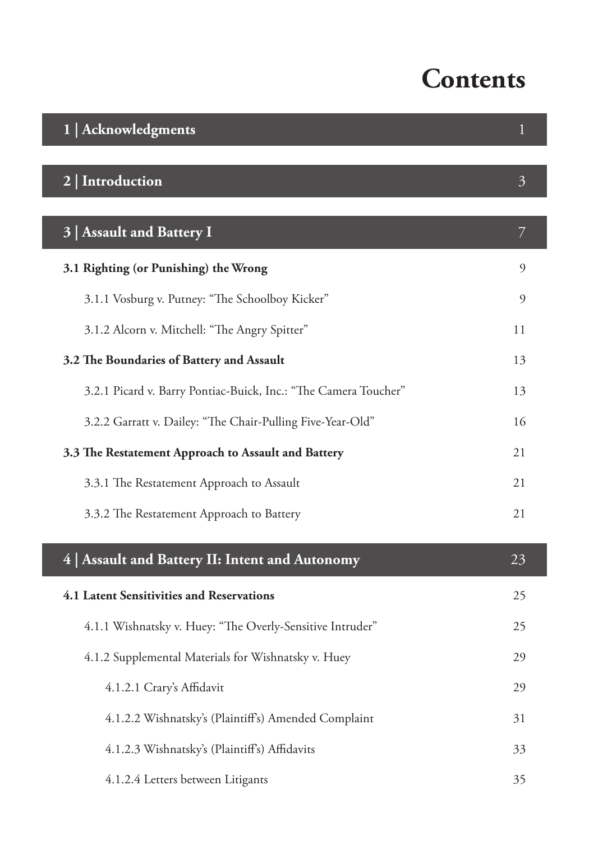## **Contents**

| 1   Acknowledgments                                             |                |
|-----------------------------------------------------------------|----------------|
| 2   Introduction                                                | $\overline{3}$ |
| 3 Assault and Battery I                                         | 7              |
| 3.1 Righting (or Punishing) the Wrong                           | 9              |
| 3.1.1 Vosburg v. Putney: "The Schoolboy Kicker"                 | 9              |
| 3.1.2 Alcorn v. Mitchell: "The Angry Spitter"                   | 11             |
| 3.2 The Boundaries of Battery and Assault                       | 13             |
| 3.2.1 Picard v. Barry Pontiac-Buick, Inc.: "The Camera Toucher" | 13             |
| 3.2.2 Garratt v. Dailey: "The Chair-Pulling Five-Year-Old"      | 16             |
| 3.3 The Restatement Approach to Assault and Battery             | 21             |
| 3.3.1 The Restatement Approach to Assault                       | 21             |
| 3.3.2 The Restatement Approach to Battery                       | 21             |
| 4   Assault and Battery II: Intent and Autonomy                 | 23             |
| 4.1 Latent Sensitivities and Reservations                       | 25             |
| 4.1.1 Wishnatsky v. Huey: "The Overly-Sensitive Intruder"       | 25             |
| 4.1.2 Supplemental Materials for Wishnatsky v. Huey             | 29             |
| 4.1.2.1 Crary's Affidavit                                       | 29             |
| 4.1.2.2 Wishnatsky's (Plaintiff's) Amended Complaint            | 31             |
| 4.1.2.3 Wishnatsky's (Plaintiff's) Affidavits                   | 33             |
| 4.1.2.4 Letters between Litigants                               | 35             |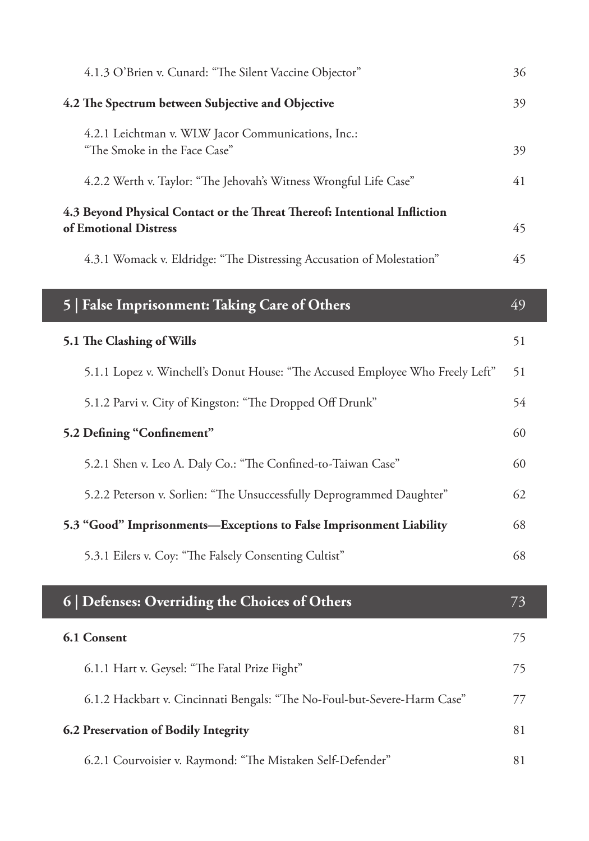| 4.1.3 O'Brien v. Cunard: "The Silent Vaccine Objector"                                             | 36 |
|----------------------------------------------------------------------------------------------------|----|
| 4.2 The Spectrum between Subjective and Objective                                                  | 39 |
| 4.2.1 Leichtman v. WLW Jacor Communications, Inc.:                                                 |    |
| "The Smoke in the Face Case"                                                                       | 39 |
| 4.2.2 Werth v. Taylor: "The Jehovah's Witness Wrongful Life Case"                                  | 41 |
| 4.3 Beyond Physical Contact or the Threat Thereof: Intentional Infliction<br>of Emotional Distress | 45 |
| 4.3.1 Womack v. Eldridge: "The Distressing Accusation of Molestation"                              | 45 |
| 5   False Imprisonment: Taking Care of Others                                                      | 49 |
| 5.1 The Clashing of Wills                                                                          | 51 |
| 5.1.1 Lopez v. Winchell's Donut House: "The Accused Employee Who Freely Left"                      | 51 |
| 5.1.2 Parvi v. City of Kingston: "The Dropped Off Drunk"                                           | 54 |
| 5.2 Defining "Confinement"                                                                         | 60 |
| 5.2.1 Shen v. Leo A. Daly Co.: "The Confined-to-Taiwan Case"                                       | 60 |
| 5.2.2 Peterson v. Sorlien: "The Unsuccessfully Deprogrammed Daughter"                              | 62 |
| 5.3 "Good" Imprisonments—Exceptions to False Imprisonment Liability                                | 68 |
| 5.3.1 Eilers v. Coy: "The Falsely Consenting Cultist"                                              | 68 |
| 6   Defenses: Overriding the Choices of Others                                                     | 73 |
|                                                                                                    |    |
| 6.1 Consent                                                                                        | 75 |
| 6.1.1 Hart v. Geysel: "The Fatal Prize Fight"                                                      | 75 |
| 6.1.2 Hackbart v. Cincinnati Bengals: "The No-Foul-but-Severe-Harm Case"                           | 77 |
| 6.2 Preservation of Bodily Integrity                                                               |    |
|                                                                                                    | 81 |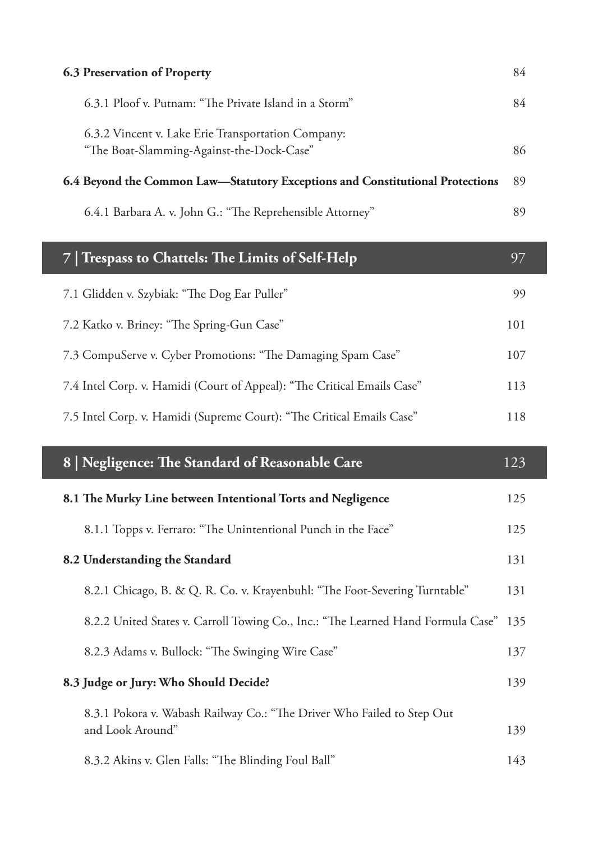| <b>6.3 Preservation of Property</b>                                                             |    |
|-------------------------------------------------------------------------------------------------|----|
| 6.3.1 Ploof v. Putnam: "The Private Island in a Storm"                                          | 84 |
| 6.3.2 Vincent v. Lake Erie Transportation Company:<br>"The Boat-Slamming-Against-the-Dock-Case" | 86 |
| 6.4 Beyond the Common Law-Statutory Exceptions and Constitutional Protections                   |    |
| 6.4.1 Barbara A. v. John G.: "The Reprehensible Attorney"                                       | 89 |

| 7 Trespass to Chattels: The Limits of Self-Help                         |     |
|-------------------------------------------------------------------------|-----|
| 7.1 Glidden v. Szybiak: "The Dog Ear Puller"                            | 99  |
| 7.2 Katko v. Briney: "The Spring-Gun Case"                              | 101 |
| 7.3 CompuServe v. Cyber Promotions: "The Damaging Spam Case"            | 107 |
| 7.4 Intel Corp. v. Hamidi (Court of Appeal): "The Critical Emails Case" | 113 |
| 7.5 Intel Corp. v. Hamidi (Supreme Court): "The Critical Emails Case"   | 118 |

| 8   Negligence: The Standard of Reasonable Care                                            | 123 |
|--------------------------------------------------------------------------------------------|-----|
| 8.1 The Murky Line between Intentional Torts and Negligence                                | 125 |
| 8.1.1 Topps v. Ferraro: "The Unintentional Punch in the Face"                              | 125 |
| 8.2 Understanding the Standard                                                             | 131 |
| 8.2.1 Chicago, B. & Q. R. Co. v. Krayenbuhl: "The Foot-Severing Turntable"                 | 131 |
| 8.2.2 United States v. Carroll Towing Co., Inc.: "The Learned Hand Formula Case"           | 135 |
| 8.2.3 Adams v. Bullock: "The Swinging Wire Case"                                           | 137 |
| 8.3 Judge or Jury: Who Should Decide?                                                      |     |
| 8.3.1 Pokora v. Wabash Railway Co.: "The Driver Who Failed to Step Out<br>and Look Around" | 139 |
| 8.3.2 Akins v. Glen Falls: "The Blinding Foul Ball"                                        | 143 |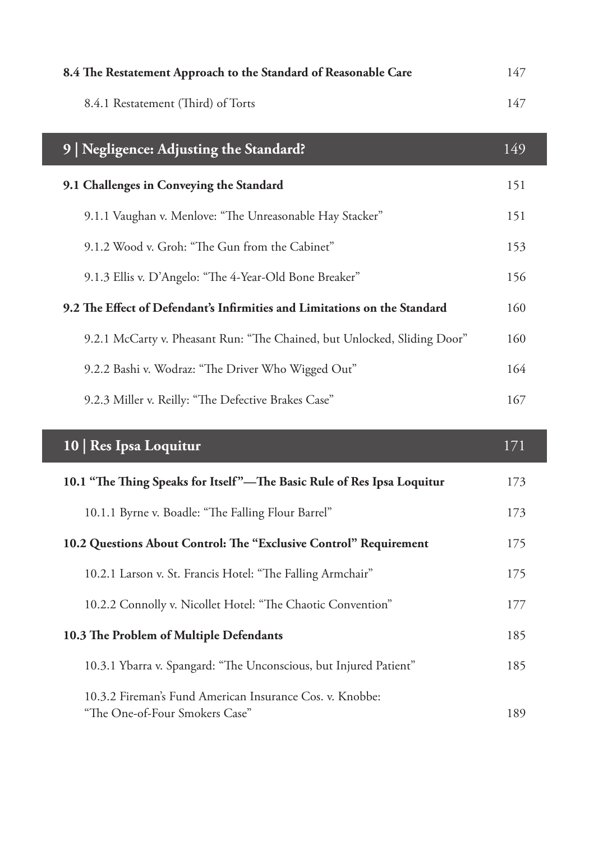| 8.4 The Restatement Approach to the Standard of Reasonable Care | 147 |
|-----------------------------------------------------------------|-----|
| 8.4.1 Restatement (Third) of Torts                              | 147 |

| 9   Negligence: Adjusting the Standard?                                   | 149 |
|---------------------------------------------------------------------------|-----|
| 9.1 Challenges in Conveying the Standard                                  | 151 |
| 9.1.1 Vaughan v. Menlove: "The Unreasonable Hay Stacker"                  | 151 |
| 9.1.2 Wood v. Groh: "The Gun from the Cabinet"                            | 153 |
| 9.1.3 Ellis v. D'Angelo: "The 4-Year-Old Bone Breaker"                    | 156 |
| 9.2 The Effect of Defendant's Infirmities and Limitations on the Standard | 160 |
| 9.2.1 McCarty v. Pheasant Run: "The Chained, but Unlocked, Sliding Door"  | 160 |
| 9.2.2 Bashi v. Wodraz: "The Driver Who Wigged Out"                        | 164 |
| 9.2.3 Miller v. Reilly: "The Defective Brakes Case"                       | 167 |

| 10   Res Ipsa Loquitur                                                                     | 171 |
|--------------------------------------------------------------------------------------------|-----|
| 10.1 "The Thing Speaks for Itself"—The Basic Rule of Res Ipsa Loquitur                     |     |
| 10.1.1 Byrne v. Boadle: "The Falling Flour Barrel"                                         | 173 |
| 10.2 Questions About Control: The "Exclusive Control" Requirement                          |     |
| 10.2.1 Larson v. St. Francis Hotel: "The Falling Armchair"                                 | 175 |
| 10.2.2 Connolly v. Nicollet Hotel: "The Chaotic Convention"                                | 177 |
| 10.3 The Problem of Multiple Defendants                                                    |     |
| 10.3.1 Ybarra v. Spangard: "The Unconscious, but Injured Patient"                          | 185 |
| 10.3.2 Fireman's Fund American Insurance Cos. v. Knobbe:<br>"The One-of-Four Smokers Case" | 189 |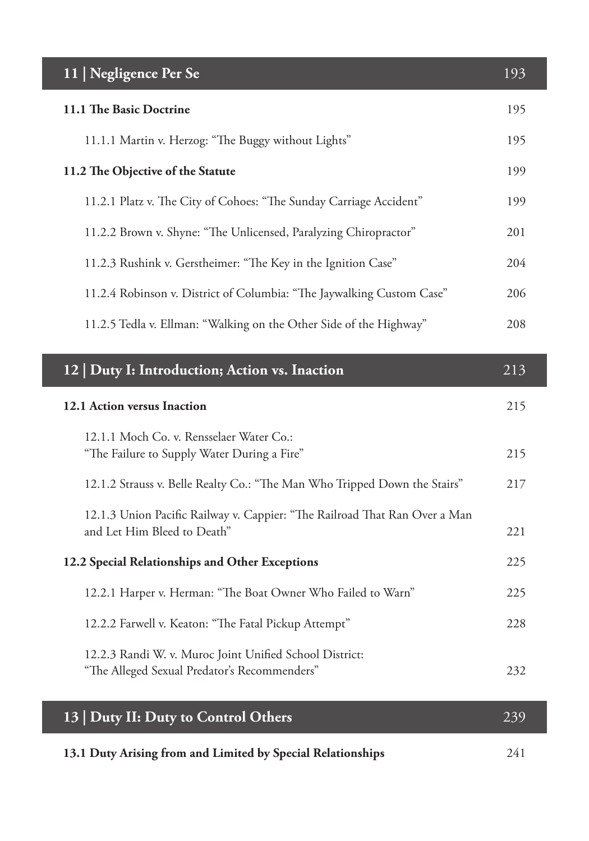| 11   Negligence Per Se                                                                                    | 193 |
|-----------------------------------------------------------------------------------------------------------|-----|
| 11.1 The Basic Doctrine                                                                                   | 195 |
| 11.1.1 Martin v. Herzog: "The Buggy without Lights"                                                       | 195 |
| 11.2 The Objective of the Statute                                                                         | 199 |
| 11.2.1 Platz v. The City of Cohoes: "The Sunday Carriage Accident"                                        | 199 |
| 11.2.2 Brown v. Shyne: "The Unlicensed, Paralyzing Chiropractor"                                          | 201 |
| 11.2.3 Rushink v. Gerstheimer: "The Key in the Ignition Case"                                             | 204 |
| 11.2.4 Robinson v. District of Columbia: "The Jaywalking Custom Case"                                     | 206 |
| 11.2.5 Tedla v. Ellman: "Walking on the Other Side of the Highway"                                        | 208 |
|                                                                                                           |     |
| 12   Duty I: Introduction; Action vs. Inaction                                                            | 213 |
| 12.1 Action versus Inaction                                                                               | 215 |
| 12.1.1 Moch Co. v. Rensselaer Water Co.:<br>"The Failure to Supply Water During a Fire"                   | 215 |
| 12.1.2 Strauss v. Belle Realty Co.: "The Man Who Tripped Down the Stairs"                                 | 217 |
| 12.1.3 Union Pacific Railway v. Cappier: "The Railroad That Ran Over a Man<br>and Let Him Bleed to Death" | 221 |
| 12.2 Special Relationships and Other Exceptions                                                           | 225 |
| 12.2.1 Harper v. Herman: "The Boat Owner Who Failed to Warn"                                              | 225 |
| 12.2.2 Farwell v. Keaton: "The Fatal Pickup Attempt"                                                      | 228 |
| 12.2.3 Randi W. v. Muroc Joint Unified School District:<br>"The Alleged Sexual Predator's Recommenders"   | 232 |
| 13   Duty II: Duty to Control Others                                                                      | 239 |
| 13.1 Duty Arising from and Limited by Special Relationships                                               | 241 |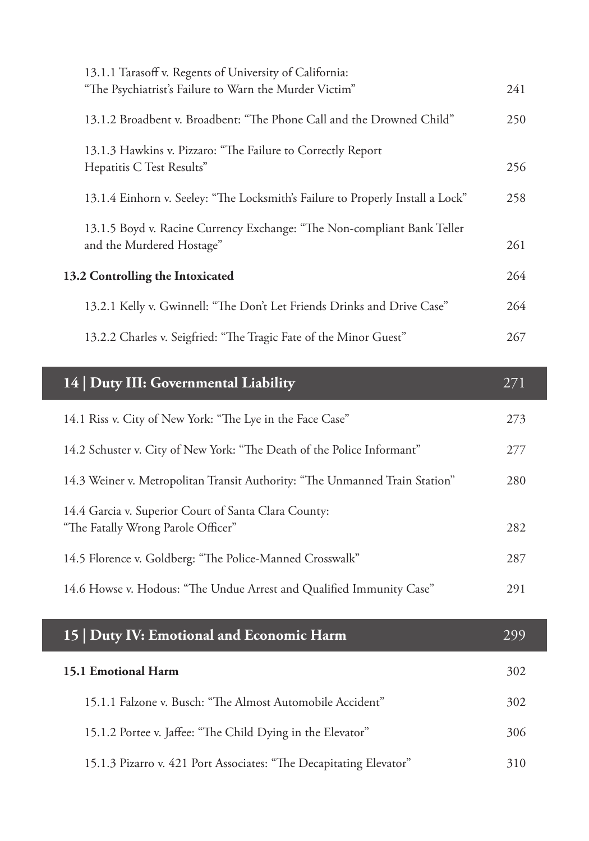|                                  | 13.1.1 Tarasoff v. Regents of University of California:                        |     |
|----------------------------------|--------------------------------------------------------------------------------|-----|
|                                  | "The Psychiatrist's Failure to Warn the Murder Victim"                         | 241 |
|                                  | 13.1.2 Broadbent v. Broadbent: "The Phone Call and the Drowned Child"          | 250 |
|                                  | 13.1.3 Hawkins v. Pizzaro: "The Failure to Correctly Report                    |     |
|                                  | Hepatitis C Test Results"                                                      | 256 |
|                                  | 13.1.4 Einhorn v. Seeley: "The Locksmith's Failure to Properly Install a Lock" | 258 |
|                                  | 13.1.5 Boyd v. Racine Currency Exchange: "The Non-compliant Bank Teller        |     |
|                                  | and the Murdered Hostage"                                                      | 261 |
| 13.2 Controlling the Intoxicated |                                                                                | 264 |
|                                  | 13.2.1 Kelly v. Gwinnell: "The Don't Let Friends Drinks and Drive Case"        | 264 |
|                                  | 13.2.2 Charles v. Seigfried: "The Tragic Fate of the Minor Guest"              | 267 |

| 14   Duty III: Governmental Liability                                                      | 271 |
|--------------------------------------------------------------------------------------------|-----|
| 14.1 Riss v. City of New York: "The Lye in the Face Case"                                  | 273 |
| 14.2 Schuster v. City of New York: "The Death of the Police Informant"                     | 277 |
| 14.3 Weiner v. Metropolitan Transit Authority: "The Unmanned Train Station"                | 280 |
| 14.4 Garcia v. Superior Court of Santa Clara County:<br>"The Fatally Wrong Parole Officer" | 282 |
| 14.5 Florence v. Goldberg: "The Police-Manned Crosswalk"                                   | 287 |
| 14.6 Howse v. Hodous: "The Undue Arrest and Qualified Immunity Case"                       | 291 |
|                                                                                            |     |
| 15   Duty IV: Emotional and Economic Harm                                                  | 299 |
| 15.1 Emotional Harm                                                                        | 302 |
| 15.1.1 Falzone v. Busch: "The Almost Automobile Accident"                                  | 302 |
| 15.1.2 Portee v. Jaffee: "The Child Dying in the Elevator"                                 | 306 |
| 15.1.3 Pizarro v. 421 Port Associates: "The Decapitating Elevator"                         | 310 |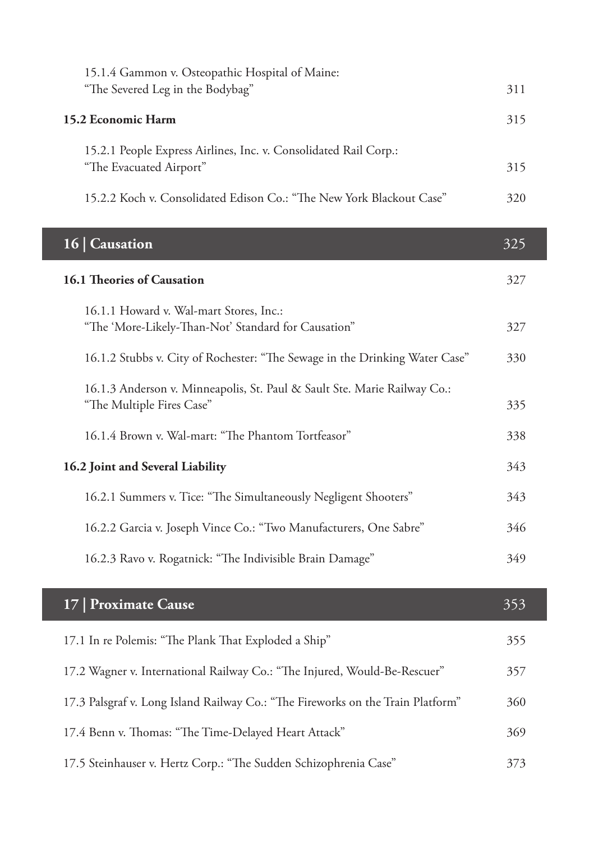| 15.1.4 Gammon v. Osteopathic Hospital of Maine:<br>"The Severed Leg in the Bodybag"                   | 311 |
|-------------------------------------------------------------------------------------------------------|-----|
| 15.2 Economic Harm                                                                                    | 315 |
| 15.2.1 People Express Airlines, Inc. v. Consolidated Rail Corp.:<br>"The Evacuated Airport"           | 315 |
| 15.2.2 Koch v. Consolidated Edison Co.: "The New York Blackout Case"                                  | 320 |
| $\overline{16}$   Causation                                                                           | 325 |
| 16.1 Theories of Causation                                                                            | 327 |
| 16.1.1 Howard v. Wal-mart Stores, Inc.:<br>"The 'More-Likely-Than-Not' Standard for Causation"        | 327 |
| 16.1.2 Stubbs v. City of Rochester: "The Sewage in the Drinking Water Case"                           | 330 |
| 16.1.3 Anderson v. Minneapolis, St. Paul & Sault Ste. Marie Railway Co.:<br>"The Multiple Fires Case" | 335 |
| 16.1.4 Brown v. Wal-mart: "The Phantom Tortfeasor"                                                    | 338 |
| 16.2 Joint and Several Liability                                                                      | 343 |
| 16.2.1 Summers v. Tice: "The Simultaneously Negligent Shooters"                                       | 343 |
| 16.2.2 Garcia v. Joseph Vince Co.: "Two Manufacturers, One Sabre"                                     | 346 |
| 16.2.3 Ravo v. Rogatnick: "The Indivisible Brain Damage"                                              | 349 |
| 17   Proximate Cause                                                                                  | 353 |
| 17.1 In re Polemis: "The Plank That Exploded a Ship"                                                  | 355 |
| 17.2 Wagner v. International Railway Co.: "The Injured, Would-Be-Rescuer"                             | 357 |
| 17.3 Palsgraf v. Long Island Railway Co.: "The Fireworks on the Train Platform"                       | 360 |
| 17.4 Benn v. Thomas: "The Time-Delayed Heart Attack"                                                  | 369 |
| 17.5 Steinhauser v. Hertz Corp.: "The Sudden Schizophrenia Case"                                      | 373 |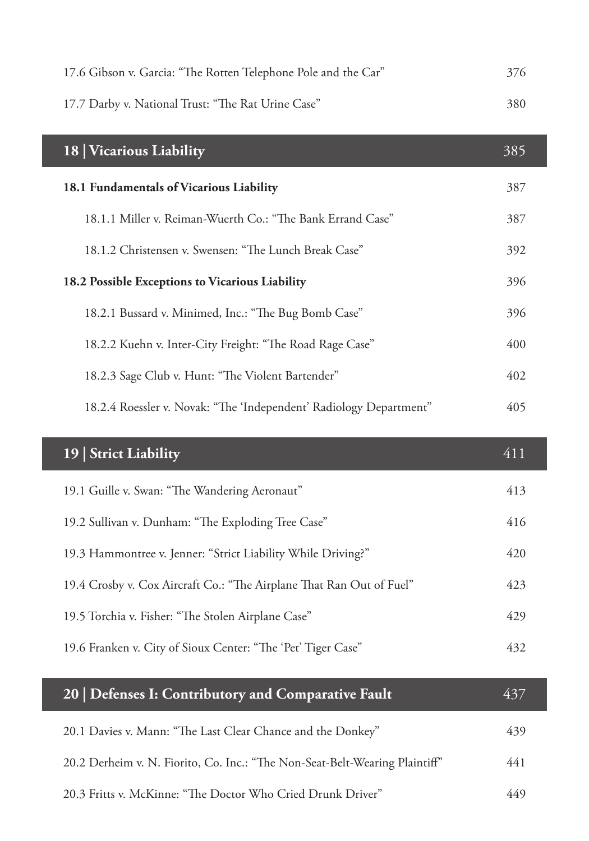| 17.6 Gibson v. Garcia: "The Rotten Telephone Pole and the Car"       | 376 |
|----------------------------------------------------------------------|-----|
| 17.7 Darby v. National Trust: "The Rat Urine Case"                   | 380 |
| 18   Vicarious Liability                                             | 385 |
| 18.1 Fundamentals of Vicarious Liability                             | 387 |
| 18.1.1 Miller v. Reiman-Wuerth Co.: "The Bank Errand Case"           | 387 |
| 18.1.2 Christensen v. Swensen: "The Lunch Break Case"                | 392 |
| 18.2 Possible Exceptions to Vicarious Liability                      | 396 |
| 18.2.1 Bussard v. Minimed, Inc.: "The Bug Bomb Case"                 | 396 |
| 18.2.2 Kuehn v. Inter-City Freight: "The Road Rage Case"             | 400 |
| 18.2.3 Sage Club v. Hunt: "The Violent Bartender"                    | 402 |
| 18.2.4 Roessler v. Novak: "The 'Independent' Radiology Department"   | 405 |
|                                                                      |     |
|                                                                      |     |
| 19   Strict Liability                                                | 411 |
| 19.1 Guille v. Swan: "The Wandering Aeronaut"                        | 413 |
| 19.2 Sullivan v. Dunham: "The Exploding Tree Case"                   | 416 |
| 19.3 Hammontree v. Jenner: "Strict Liability While Driving?"         | 420 |
| 19.4 Crosby v. Cox Aircraft Co.: "The Airplane That Ran Out of Fuel" | 423 |
| 19.5 Torchia v. Fisher: "The Stolen Airplane Case"                   | 429 |
| 19.6 Franken v. City of Sioux Center: "The 'Pet' Tiger Case"         | 432 |
|                                                                      |     |
| 20   Defenses I: Contributory and Comparative Fault                  | 437 |
| 20.1 Davies v. Mann: "The Last Clear Chance and the Donkey"          | 439 |

20.3 Fritts v. McKinne: "The Doctor Who Cried Drunk Driver" 449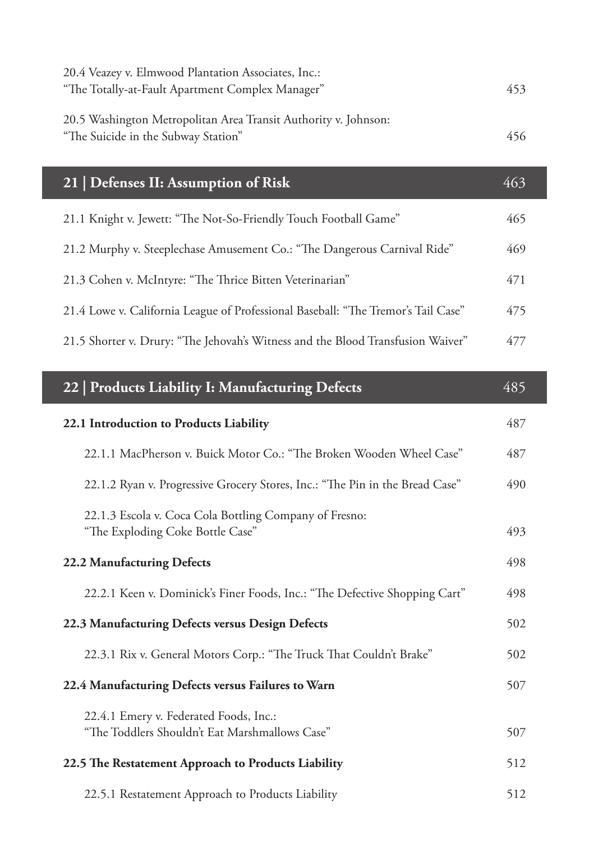| 20.4 Veazey v. Elmwood Plantation Associates, Inc.:<br>"The Totally-at-Fault Apartment Complex Manager" | 453 |
|---------------------------------------------------------------------------------------------------------|-----|
| 20.5 Washington Metropolitan Area Transit Authority v. Johnson:<br>"The Suicide in the Subway Station"  | 456 |
| 21   Defenses II: Assumption of Risk                                                                    | 463 |
| 21.1 Knight v. Jewett: "The Not-So-Friendly Touch Football Game"                                        | 465 |
| 21.2 Murphy v. Steeplechase Amusement Co.: "The Dangerous Carnival Ride"                                | 469 |
| 21.3 Cohen v. McIntyre: "The Thrice Bitten Veterinarian"                                                | 471 |
| 21.4 Lowe v. California League of Professional Baseball: "The Tremor's Tail Case"                       | 475 |
| 21.5 Shorter v. Drury: "The Jehovah's Witness and the Blood Transfusion Waiver"                         | 477 |
| 22   Products Liability I: Manufacturing Defects                                                        | 485 |
|                                                                                                         |     |
| 22.1 Introduction to Products Liability                                                                 | 487 |
| 22.1.1 MacPherson v. Buick Motor Co.: "The Broken Wooden Wheel Case"                                    | 487 |
| 22.1.2 Ryan v. Progressive Grocery Stores, Inc.: "The Pin in the Bread Case"                            | 490 |
| 22.1.3 Escola v. Coca Cola Bottling Company of Fresno:<br>"The Exploding Coke Bottle Case"              | 493 |
| 22.2 Manufacturing Defects                                                                              | 498 |
| 22.2.1 Keen v. Dominick's Finer Foods, Inc.: "The Defective Shopping Cart"                              | 498 |
| 22.3 Manufacturing Defects versus Design Defects                                                        | 502 |
| 22.3.1 Rix v. General Motors Corp.: "The Truck That Couldn't Brake"                                     | 502 |
| 22.4 Manufacturing Defects versus Failures to Warn                                                      | 507 |

- **22.5 The Restatement Approach to Products Liability** 512
	- 22.5.1 Restatement Approach to Products Liability 512